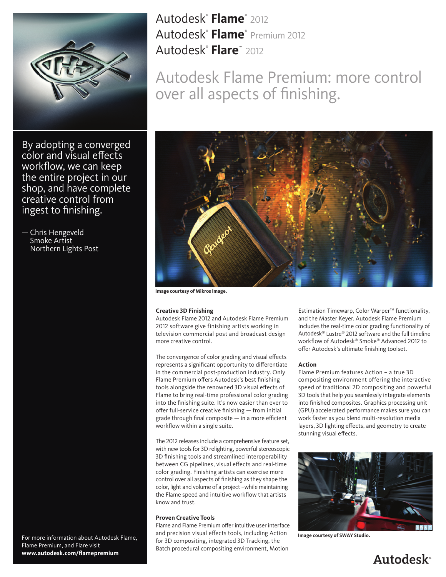

By adopting a converged color and visual effects workflow, we can keep the entire project in our shop, and have complete creative control from ingest to finishing.

— Chris Hengeveld Smoke Artist Northern Lights Post

For more information about Autodesk Flame, Flame Premium, and Flare visit **www.autodesk.com/flamepremium**

Autodesk®  **Flame**® 2012 Autodesk®  **Flame**® Premium 2012 Autodesk®  **Flare**™ 2012

Autodesk Flame Premium: more control over all aspects of finishing.



**Image courtesy of Mikros Image.**

#### **Creative 3D Finishing**

Autodesk Flame 2012 and Autodesk Flame Premium 2012 software give finishing artists working in television commercial post and broadcast design more creative control.

The convergence of color grading and visual effects represents a significant opportunity to differentiate in the commercial post-production industry. Only Flame Premium offers Autodesk's best finishing tools alongside the renowned 3D visual effects of Flame to bring real-time professional color grading into the finishing suite. It's now easier than ever to offer full-service creative finishing — from initial grade through final composite — in a more efficient workflow within a single suite.

The 2012 releases include a comprehensive feature set, with new tools for 3D relighting, powerful stereoscopic 3D finishing tools and streamlined interoperability between CG pipelines, visual effects and real-time color grading. Finishing artists can exercise more control over all aspects of finishing as they shape the color, light and volume of a project –while maintaining the Flame speed and intuitive workflow that artists know and trust.

# **Proven Creative Tools**

Flame and Flame Premium offer intuitive user interface and precision visual effects tools, including Action for 3D compositing, integrated 3D Tracking, the Batch procedural compositing environment, Motion

Estimation Timewarp, Color Warper™ functionality, and the Master Keyer. Autodesk Flame Premium includes the real-time color grading functionality of Autodesk® Lustre® 2012 software and the full timeline workflow of Autodesk® Smoke® Advanced 2012 to offer Autodesk's ultimate finishing toolset.

### **Action**

Flame Premium features Action – a true 3D compositing environment offering the interactive speed of traditional 2D compositing and powerful 3D tools that help you seamlessly integrate elements into finished composites. Graphics processing unit (GPU) accelerated performance makes sure you can work faster as you blend multi-resolution media layers, 3D lighting effects, and geometry to create stunning visual effects.



**Image courtesy of SWAY Studio.**

# **Autodesk**<sup>®</sup>